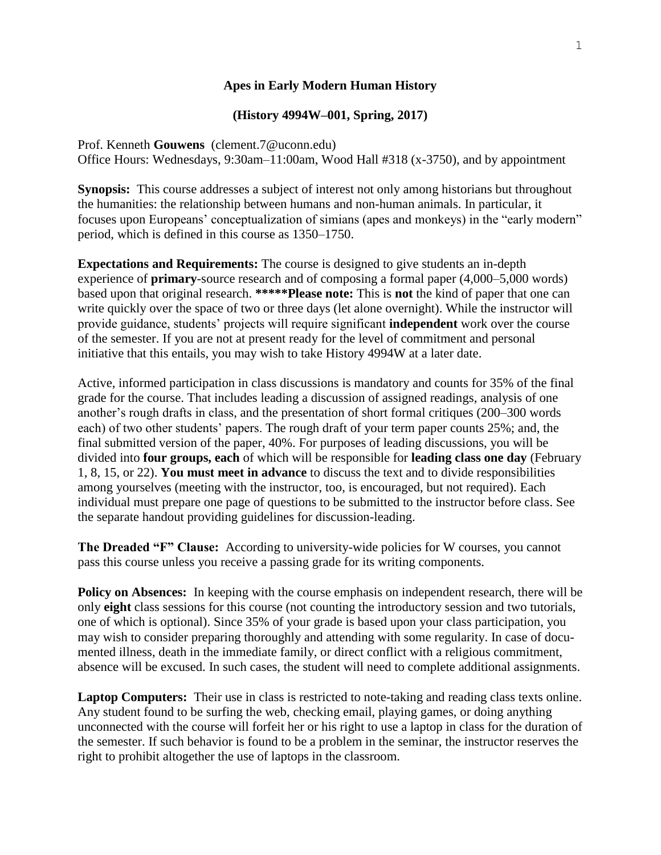# **Apes in Early Modern Human History**

# **(History 4994W–001, Spring, 2017)**

Prof. Kenneth **Gouwens** (clement.7@uconn.edu) Office Hours: Wednesdays, 9:30am–11:00am, Wood Hall #318 (x-3750), and by appointment

**Synopsis:** This course addresses a subject of interest not only among historians but throughout the humanities: the relationship between humans and non-human animals. In particular, it focuses upon Europeans' conceptualization of simians (apes and monkeys) in the "early modern" period, which is defined in this course as 1350–1750.

**Expectations and Requirements:** The course is designed to give students an in-depth experience of **primary**-source research and of composing a formal paper (4,000–5,000 words) based upon that original research. **\*\*\*\*\*Please note:** This is **not** the kind of paper that one can write quickly over the space of two or three days (let alone overnight). While the instructor will provide guidance, students' projects will require significant **independent** work over the course of the semester. If you are not at present ready for the level of commitment and personal initiative that this entails, you may wish to take History 4994W at a later date.

Active, informed participation in class discussions is mandatory and counts for 35% of the final grade for the course. That includes leading a discussion of assigned readings, analysis of one another's rough drafts in class, and the presentation of short formal critiques (200–300 words each) of two other students' papers. The rough draft of your term paper counts 25%; and, the final submitted version of the paper, 40%. For purposes of leading discussions, you will be divided into **four groups, each** of which will be responsible for **leading class one day** (February 1, 8, 15, or 22). **You must meet in advance** to discuss the text and to divide responsibilities among yourselves (meeting with the instructor, too, is encouraged, but not required). Each individual must prepare one page of questions to be submitted to the instructor before class. See the separate handout providing guidelines for discussion-leading.

**The Dreaded "F" Clause:** According to university-wide policies for W courses, you cannot pass this course unless you receive a passing grade for its writing components.

**Policy on Absences:** In keeping with the course emphasis on independent research, there will be only **eight** class sessions for this course (not counting the introductory session and two tutorials, one of which is optional). Since 35% of your grade is based upon your class participation, you may wish to consider preparing thoroughly and attending with some regularity. In case of documented illness, death in the immediate family, or direct conflict with a religious commitment, absence will be excused. In such cases, the student will need to complete additional assignments.

**Laptop Computers:**Their use in class is restricted to note-taking and reading class texts online. Any student found to be surfing the web, checking email, playing games, or doing anything unconnected with the course will forfeit her or his right to use a laptop in class for the duration of the semester. If such behavior is found to be a problem in the seminar, the instructor reserves the right to prohibit altogether the use of laptops in the classroom.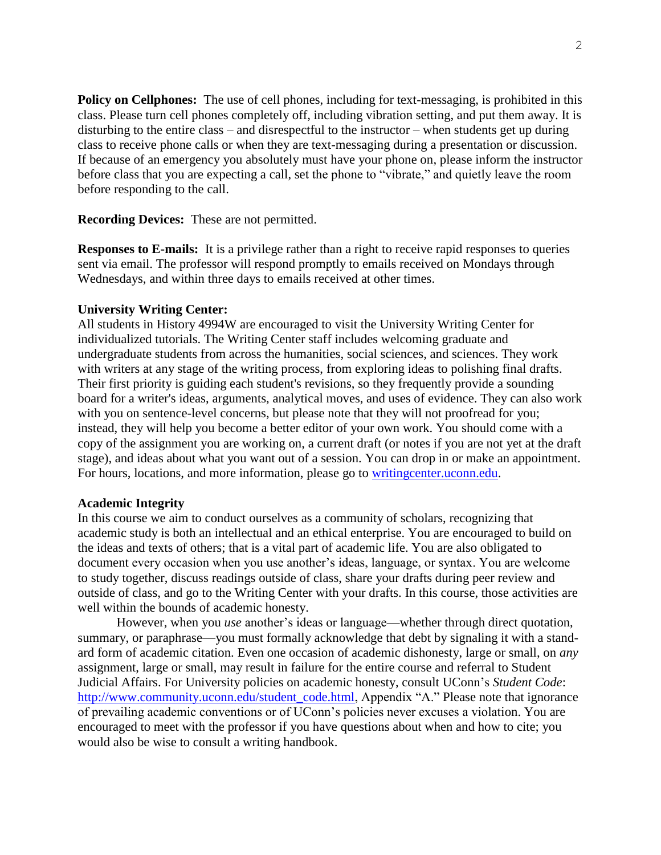**Policy on Cellphones:** The use of cell phones, including for text-messaging, is prohibited in this class. Please turn cell phones completely off, including vibration setting, and put them away. It is disturbing to the entire class – and disrespectful to the instructor – when students get up during class to receive phone calls or when they are text-messaging during a presentation or discussion. If because of an emergency you absolutely must have your phone on, please inform the instructor before class that you are expecting a call, set the phone to "vibrate," and quietly leave the room before responding to the call.

**Recording Devices:**These are not permitted.

**Responses to E-mails:**It is a privilege rather than a right to receive rapid responses to queries sent via email. The professor will respond promptly to emails received on Mondays through Wednesdays, and within three days to emails received at other times.

# **University Writing Center:**

All students in History 4994W are encouraged to visit the University Writing Center for individualized tutorials. The Writing Center staff includes welcoming graduate and undergraduate students from across the humanities, social sciences, and sciences. They work with writers at any stage of the writing process, from exploring ideas to polishing final drafts. Their first priority is guiding each student's revisions, so they frequently provide a sounding board for a writer's ideas, arguments, analytical moves, and uses of evidence. They can also work with you on sentence-level concerns, but please note that they will not proofread for you; instead, they will help you become a better editor of your own work. You should come with a copy of the assignment you are working on, a current draft (or notes if you are not yet at the draft stage), and ideas about what you want out of a session. You can drop in or make an appointment. For hours, locations, and more information, please go to [writingcenter.uconn.edu.](http://writingcenter.uconn.edu/)

### **Academic Integrity**

In this course we aim to conduct ourselves as a community of scholars, recognizing that academic study is both an intellectual and an ethical enterprise. You are encouraged to build on the ideas and texts of others; that is a vital part of academic life. You are also obligated to document every occasion when you use another's ideas, language, or syntax. You are welcome to study together, discuss readings outside of class, share your drafts during peer review and outside of class, and go to the Writing Center with your drafts. In this course, those activities are well within the bounds of academic honesty.

However, when you *use* another's ideas or language—whether through direct quotation, summary, or paraphrase—you must formally acknowledge that debt by signaling it with a standard form of academic citation. Even one occasion of academic dishonesty, large or small, on *any* assignment, large or small, may result in failure for the entire course and referral to Student Judicial Affairs. For University policies on academic honesty, consult UConn's *Student Code*: [http://www.community.uconn.edu/student\\_code.html,](http://www.community.uconn.edu/student_code.html) Appendix "A." Please note that ignorance of prevailing academic conventions or of UConn's policies never excuses a violation. You are encouraged to meet with the professor if you have questions about when and how to cite; you would also be wise to consult a writing handbook.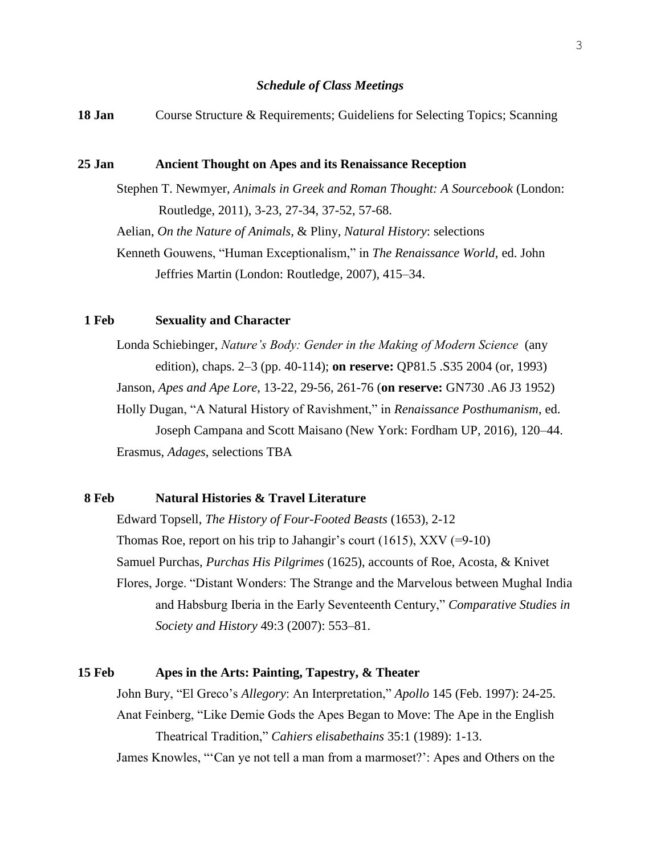#### *Schedule of Class Meetings*

**18 Jan** Course Structure & Requirements; Guideliens for Selecting Topics; Scanning

#### **25 Jan Ancient Thought on Apes and its Renaissance Reception**

Stephen T. Newmyer, *Animals in Greek and Roman Thought: A Sourcebook* (London: Routledge, 2011), 3-23, 27-34, 37-52, 57-68. Aelian, *On the Nature of Animals*, & Pliny, *Natural History*: selections Kenneth Gouwens, "Human Exceptionalism," in *The Renaissance World*, ed. John Jeffries Martin (London: Routledge, 2007), 415–34.

# **1 Feb Sexuality and Character**

Londa Schiebinger, *Nature's Body: Gender in the Making of Modern Science* (any edition), chaps. 2–3 (pp. 40-114); **on reserve:** QP81.5 .S35 2004 (or, 1993) Janson, *Apes and Ape Lore*, 13-22, 29-56, 261-76 (**on reserve:** GN730 .A6 J3 1952) Holly Dugan, "A Natural History of Ravishment," in *Renaissance Posthumanism*, ed. Joseph Campana and Scott Maisano (New York: Fordham UP, 2016), 120–44. Erasmus, *Adages*, selections TBA

# **8 Feb Natural Histories & Travel Literature**

Edward Topsell, *The History of Four-Footed Beasts* (1653), 2-12 Thomas Roe, report on his trip to Jahangir's court (1615),  $XXV$  (=9-10) Samuel Purchas, *Purchas His Pilgrimes* (1625), accounts of Roe, Acosta, & Knivet Flores, Jorge. "Distant Wonders: The Strange and the Marvelous between Mughal India and Habsburg Iberia in the Early Seventeenth Century," *Comparative Studies in Society and History* 49:3 (2007): 553–81.

### **15 Feb Apes in the Arts: Painting, Tapestry, & Theater**

John Bury, "El Greco's *Allegory*: An Interpretation," *Apollo* 145 (Feb. 1997): 24-25. Anat Feinberg, "Like Demie Gods the Apes Began to Move: The Ape in the English Theatrical Tradition," *Cahiers elisabethains* 35:1 (1989): 1-13.

James Knowles, "'Can ye not tell a man from a marmoset?': Apes and Others on the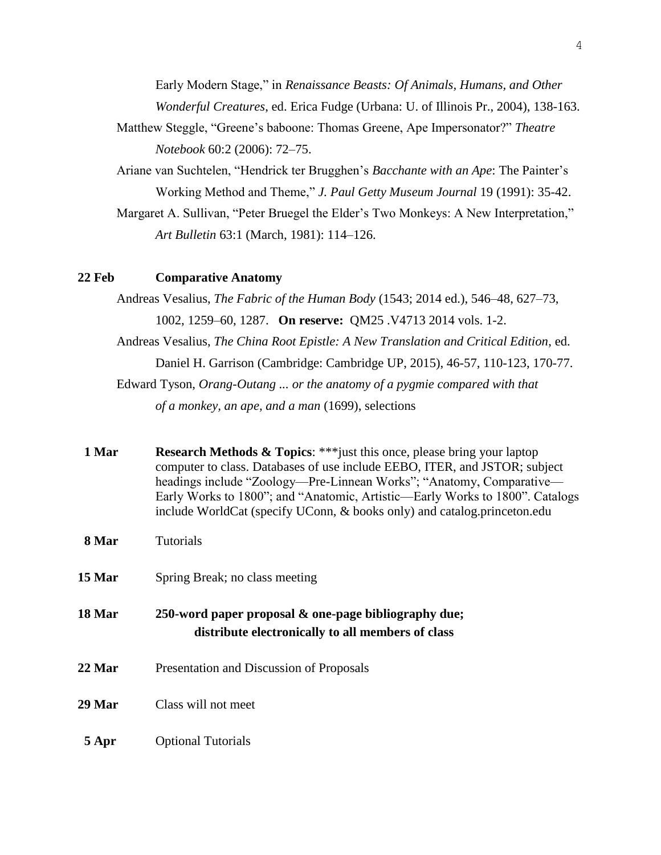Early Modern Stage," in *Renaissance Beasts: Of Animals, Humans, and Other Wonderful Creatures*, ed. Erica Fudge (Urbana: U. of Illinois Pr., 2004), 138-163.

- Matthew Steggle, "Greene's baboone: Thomas Greene, Ape Impersonator?" *Theatre Notebook* 60:2 (2006): 72–75.
- Ariane van Suchtelen, "Hendrick ter Brugghen's *Bacchante with an Ape*: The Painter's Working Method and Theme," *J. Paul Getty Museum Journal* 19 (1991): 35-42.
- Margaret A. Sullivan, "Peter Bruegel the Elder's Two Monkeys: A New Interpretation," *Art Bulletin* 63:1 (March, 1981): 114–126.

### **22 Feb Comparative Anatomy**

Andreas Vesalius, *The Fabric of the Human Body* (1543; 2014 ed.), 546–48, 627–73, 1002, 1259–60, 1287. **On reserve:** QM25 .V4713 2014 vols. 1-2. Andreas Vesalius, *The China Root Epistle: A New Translation and Critical Edition*, ed. Daniel H. Garrison (Cambridge: Cambridge UP, 2015), 46-57, 110-123, 170-77. Edward Tyson, *Orang-Outang ... or the anatomy of a pygmie compared with that of a monkey, an ape, and a man* (1699), selections

| 1 Mar | <b>Research Methods &amp; Topics:</b> *** just this once, please bring your laptop |
|-------|------------------------------------------------------------------------------------|
|       | $1 \quad R+1 \quad C \quad 11$ FERO ITER 110000                                    |

- computer to class. Databases of use include EEBO, ITER, and JSTOR; subject headings include "Zoology—Pre-Linnean Works"; "Anatomy, Comparative— Early Works to 1800"; and "Anatomic, Artistic—Early Works to 1800". Catalogs include WorldCat (specify UConn, & books only) and catalog.princeton.edu
- **8 Mar** Tutorials
- **15 Mar** Spring Break; no class meeting
- **18 Mar 250-word paper proposal & one-page bibliography due; distribute electronically to all members of class**
- 22 Mar **Presentation and Discussion of Proposals**
- **29 Mar** Class will not meet
- **5 Apr** Optional Tutorials